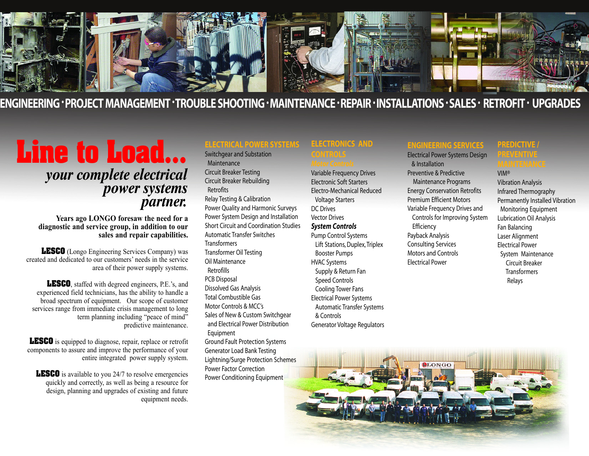

## ENGINEERING 'PROJECT MANAGEMENT 'TROUBLE SHOOTING 'MAINTENANCE 'REPAIR 'INSTALLATIONS 'SALES ' RETROFIT ' UPGRADES

# **Line to Load...**

## *your complete electrical power systems partner.*

**Years ago LONGO foresaw the need for <sup>a</sup> diagnostic and service group, in addition to our sales and repair capabilities.** 

**LESCO** (Longo Engineering Services Company) was created and dedicated to our customers' needs in the service area of their power supply systems.

**LESCO**, staffed with degreed engineers, P.E.'s, and experienced field technicians, has the ability to handle a broad spectrum of equipment. Our scope of customer services range from immediate crisis management to long term planning including "peace of mind" predictive maintenance.

**LESCO** is equipped to diagnose, repair, replace or retrofit components to assure and improve the performance of your entire integrated power supply system.

**LESCO** is available to you 24/7 to resolve emergencies quickly and correctly, as well as being a resource for design, planning and upgrades of existing and future equipment needs.

### **ELECTRICAL POWER SYSTEMS**

Switchgear and Substation Maintenance Circuit Breaker Testing Circuit Breaker Rebuilding Retrofits Relay Testing & Calibration Power Quality and Harmonic Surveys Power System Design and Installation Short Circuit and Coordination Studies Automatic Transfer Switches **Transformers** Transformer Oil Testing Oil Maintenance Retrofills PCB Disposal Dissolved Gas Analysis Total Combustible Gas Motor Controls & MCC's Sales of New & Custom Switchgear and Electrical Power Distribution Equipment Ground Fault Protection Systems Generator Load Bank Testing Lightning/Surge Protection Schemes Power Factor Correction

Power Conditioning Equipment

#### **ELECTRONICS AND CONTROLS**

Variable Frequency Drives Electronic Soft Starters Electro-Mechanical Reduced Voltage Starters DC Drives Vector Drives *System Controls* Pump Control Systems

Lift Stations, Duplex, Triplex Booster Pumps HVAC Systems Supply & Return Fan Speed Controls Cooling Tower Fans Electrical Power Systems Automatic Transfer Systems & Controls Generator Voltage Regulators

#### **ENGINEERING SERVICES**

Electrical Power Systems Design & Installation Preventive & Predictive Maintenance Programs Energy Conservation Retrofits Premium Efficient Motors Variable Frequency Drives and Controls for Improving System **Efficiency** Payback Analysis Consulting Services Motors and Controls Electrical Power

#### **PREDICTIVE / PREVENTIVE**

VIM® Vibration Analysis Infrared Thermography Permanently Installed Vibration Monitoring Equipment Lubrication Oil Analysis Fan Balancing Laser Alignment Electrical Power System Maintenance Circuit Breaker **Transformers** Relays